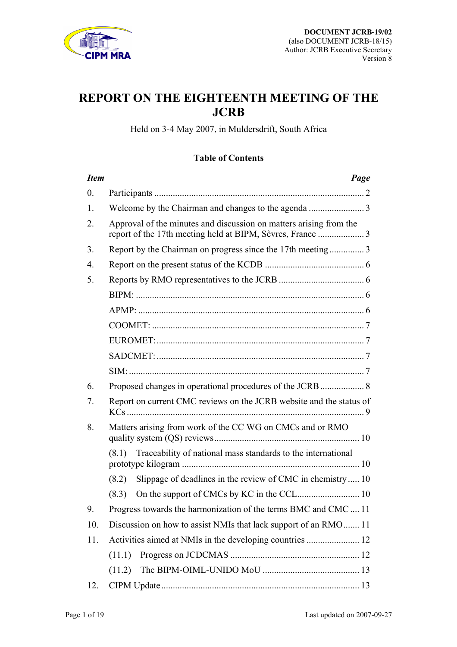

# **REPORT ON THE EIGHTEENTH MEETING OF THE JCRB**

Held on 3-4 May 2007, in Muldersdrift, South Africa

## **Table of Contents**

| <b>Item</b>      | Page                                                                                                                            |
|------------------|---------------------------------------------------------------------------------------------------------------------------------|
| $\overline{0}$ . |                                                                                                                                 |
| 1.               |                                                                                                                                 |
| 2.               | Approval of the minutes and discussion on matters arising from the<br>report of the 17th meeting held at BIPM, Sèvres, France 3 |
| 3.               | Report by the Chairman on progress since the 17th meeting3                                                                      |
| $\overline{4}$ . |                                                                                                                                 |
| 5.               |                                                                                                                                 |
|                  |                                                                                                                                 |
|                  |                                                                                                                                 |
|                  |                                                                                                                                 |
|                  |                                                                                                                                 |
|                  |                                                                                                                                 |
|                  |                                                                                                                                 |
| 6.               | Proposed changes in operational procedures of the JCRB  8                                                                       |
| 7.               | Report on current CMC reviews on the JCRB website and the status of                                                             |
| 8.               | Matters arising from work of the CC WG on CMCs and or RMO                                                                       |
|                  | (8.1) Traceability of national mass standards to the international                                                              |
|                  | Slippage of deadlines in the review of CMC in chemistry 10<br>(8.2)                                                             |
|                  | (8.3)                                                                                                                           |
| 9.               | Progress towards the harmonization of the terms BMC and CMC  11                                                                 |
| 10.              | Discussion on how to assist NMIs that lack support of an RMO 11                                                                 |
| 11.              | Activities aimed at NMIs in the developing countries  12                                                                        |
|                  | (11.1)                                                                                                                          |
|                  | (11.2)                                                                                                                          |
| 12.              |                                                                                                                                 |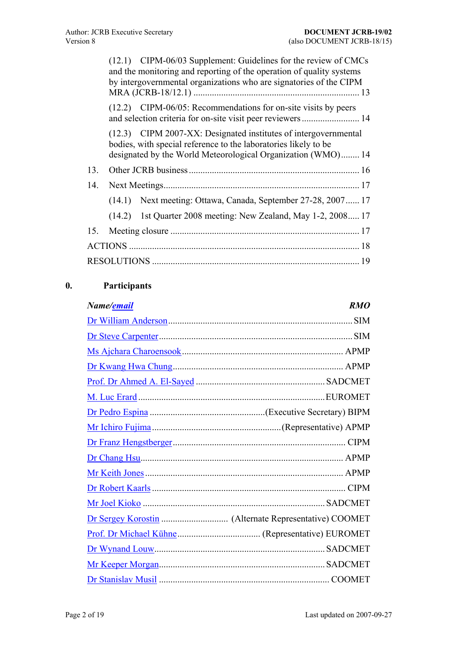<span id="page-1-0"></span>

|     | (12.1) CIPM-06/03 Supplement: Guidelines for the review of CMCs<br>and the monitoring and reporting of the operation of quality systems<br>by intergovernmental organizations who are signatories of the CIPM |
|-----|---------------------------------------------------------------------------------------------------------------------------------------------------------------------------------------------------------------|
|     | $(12.2)$ CIPM-06/05: Recommendations for on-site visits by peers                                                                                                                                              |
|     | (12.3) CIPM 2007-XX: Designated institutes of intergovernmental<br>bodies, with special reference to the laboratories likely to be<br>designated by the World Meteorological Organization (WMO) 14            |
| 13. |                                                                                                                                                                                                               |
| 14. |                                                                                                                                                                                                               |
|     | (14.1) Next meeting: Ottawa, Canada, September 27-28, 2007 17                                                                                                                                                 |
|     | (14.2) 1st Quarter 2008 meeting: New Zealand, May 1-2, 2008 17                                                                                                                                                |
|     |                                                                                                                                                                                                               |
|     |                                                                                                                                                                                                               |
|     |                                                                                                                                                                                                               |

## **0. Participants**

| Name/ <u>email</u> | <b>RMO</b> |
|--------------------|------------|
|                    |            |
|                    |            |
|                    |            |
|                    |            |
|                    |            |
|                    |            |
|                    |            |
|                    |            |
|                    |            |
|                    |            |
|                    |            |
|                    |            |
|                    |            |
|                    |            |
|                    |            |
|                    |            |
|                    |            |
|                    |            |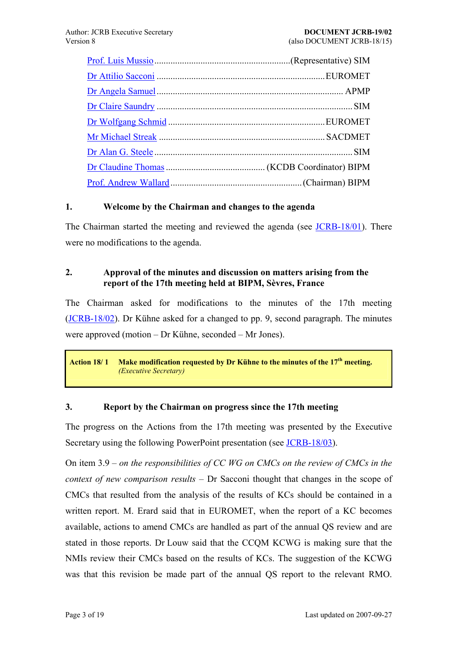<span id="page-2-0"></span>

### **1. Welcome by the Chairman and changes to the agenda**

The Chairman started the meeting and reviewed the agenda (see [JCRB-18/01\)](https://www.bipm.org/cc/JCRB/Restricted/18/18.01.Agenda.3.doc). There were no modifications to the agenda.

## **2. Approval of the minutes and discussion on matters arising from the**  report of the 17th meeting held at BIPM, Sèvres, France

The Chairman asked for modifications to the minutes of the 17th meeting  $(JCRB-18/02)$  $(JCRB-18/02)$ . Dr Kühne asked for a changed to pp. 9, second paragraph. The minutes were approved (motion  $-$  Dr Kühne, seconded  $-$  Mr Jones).

Action 18/1 Make modification requested by Dr Kühne to the minutes of the 17<sup>th</sup> meeting. *(Executive Secretary)*

#### **3. Report by the Chairman on progress since the 17th meeting**

The progress on the Actions from the 17th meeting was presented by the Executive Secretary using the following PowerPoint presentation (see [JCRB-18/03\)](https://www.bipm.org/cc/JCRB/Restricted/18/18.03.Chairman_Report.ppt).

On item 3.9 – on the responsibilities of CC WG on CMCs on the review of CMCs in the *context of new comparison results* – Dr Sacconi thought that changes in the scope of CMCs that resulted from the analysis of the results of KCs should be contained in a written report. M. Erard said that in EUROMET, when the report of a KC becomes available, actions to amend CMCs are handled as part of the annual QS review and are stated in those reports. Dr Louw said that the CCQM KCWG is making sure that the NMIs review their CMCs based on the results of KCs. The suggestion of the KCWG was that this revision be made part of the annual QS report to the relevant RMO.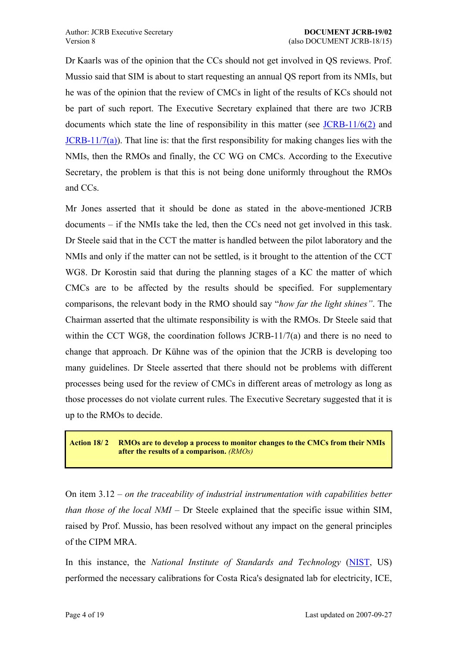<span id="page-3-0"></span>Dr Kaarls was of the opinion that the CCs should not get involved in QS reviews. Prof. Mussio said that SIM is about to start requesting an annual QS report from its NMIs, but he was of the opinion that the review of CMCs in light of the results of KCs should not be part of such report. The Executive Secretary explained that there are two JCRB documents which state the line of responsibility in this matter (see [JCRB-11/6\(2\)](https://www1.bipm.org/utils/common/documents/jcrb/working_groups_CMCs.pdf) and  $JCRB-11/7(a)$ . That line is: that the first responsibility for making changes lies with the NMIs, then the RMOs and finally, the CC WG on CMCs. According to the Executive Secretary, the problem is that this is not being done uniformly throughout the RMOs and CCs.

Mr Jones asserted that it should be done as stated in the above-mentioned JCRB  $d$  documents  $-$  if the NMIs take the led, then the CCs need not get involved in this task. Dr Steele said that in the CCT the matter is handled between the pilot laboratory and the NMIs and only if the matter can not be settled, is it brought to the attention of the CCT WG8. Dr Korostin said that during the planning stages of a KC the matter of which CMCs are to be affected by the results should be specified. For supplementary comparisons, the relevant body in the RMO should say "*how far the light shines*". The Chairman asserted that the ultimate responsibility is with the RMOs. Dr Steele said that within the CCT WG8, the coordination follows JCRB-11/7(a) and there is no need to change that approach. Dr Kühne was of the opinion that the JCRB is developing too many guidelines. Dr Steele asserted that there should not be problems with different processes being used for the review of CMCs in different areas of metrology as long as those processes do not violate current rules. The Executive Secretary suggested that it is up to the RMOs to decide.

**Action 18/ 2 RMOs are to develop a process to monitor changes to the CMCs from their NMIs after the results of a comparison.** *(RMOs)*

On item 3.12 – *on the traceability of industrial instrumentation with capabilities better than those of the local NMI* – Dr Steele explained that the specific issue within SIM, raised by Prof. Mussio, has been resolved without any impact on the general principles of the CIPM MRA.

In this instance, the *National Institute of Standards and Technology* ([NIST](http://www.nist.gov/), US) performed the necessary calibrations for Costa Rica's designated lab for electricity, ICE,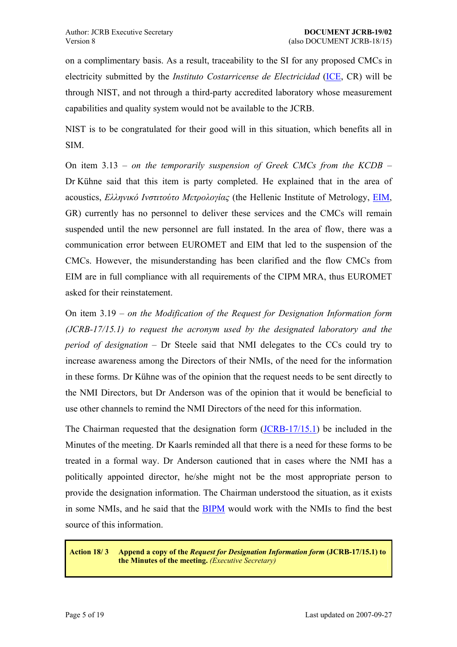<span id="page-4-0"></span>on a complimentary basis. As a result, traceability to the SI for any proposed CMCs in electricity submitted by the *Instituto Costarricense de Electricidad* ([ICE,](http://www.grupoice.com/) CR) will be through NIST, and not through a third-party accredited laboratory whose measurement capabilities and quality system would not be available to the JCRB.

NIST is to be congratulated for their good will in this situation, which benefits all in SIM.

On item 3.13 – on the temporarily suspension of Greek CMCs from the KCDB – Dr Kühne said that this item is party completed. He explained that in the area of acoustics, *Ελληνικό Ινστιτούτο Μετρολογίας* (the Hellenic Institute of Metrology, [EIM](http://www.eim.gr/), GR) currently has no personnel to deliver these services and the CMCs will remain suspended until the new personnel are full instated. In the area of flow, there was a communication error between EUROMET and EIM that led to the suspension of the CMCs. However, the misunderstanding has been clarified and the flow CMCs from EIM are in full compliance with all requirements of the CIPM MRA, thus EUROMET asked for their reinstatement.

On item 3.19 – on the Modification of the Request for Designation Information form *(JCRB-17/15.1) to request the acronym used by the designated laboratory and the period of designation* – Dr Steele said that NMI delegates to the CCs could try to increase awareness among the Directors of their NMIs, of the need for the information in these forms. Dr Kühne was of the opinion that the request needs to be sent directly to the NMI Directors, but Dr Anderson was of the opinion that it would be beneficial to use other channels to remind the NMI Directors of the need for this information.

The Chairman requested that the designation form [\(JCRB-17/15.1](https://www.bipm.org/utils/en/doc/designation.doc)) be included in the Minutes of the meeting. Dr Kaarls reminded all that there is a need for these forms to be treated in a formal way. Dr Anderson cautioned that in cases where the NMI has a politically appointed director, he/she might not be the most appropriate person to provide the designation information. The Chairman understood the situation, as it exists in some NMIs, and he said that the [BIPM](https://www.bipm.org/) would work with the NMIs to find the best source of this information.

#### **Action 18/ 3 Append a copy of the** *Request for Designation Information form* **(JCRB-17/15.1) to the Minutes of the meeting.** *(Executive Secretary)*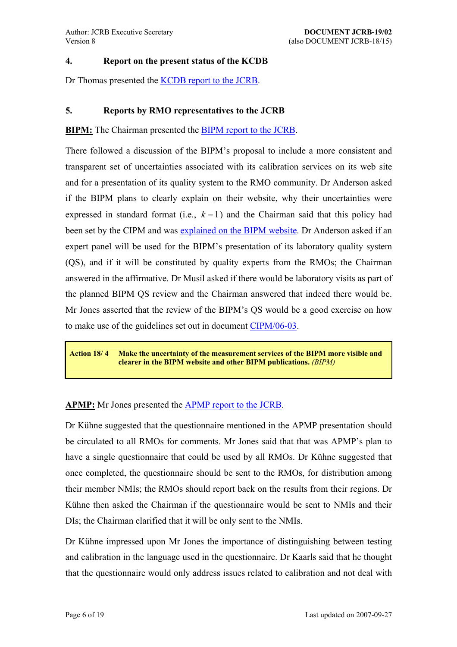#### <span id="page-5-0"></span>**4. Report on the present status of the KCDB**

Dr Thomas presented the [KCDB report to the JCRB.](https://www1.bipm.org/cc/JCRB/Restricted/17/17.04.KCDB_Report.3.pdf)

## **5. Reports by RMO representatives to the JCRB**

**BIPM:** The Chairman presented the [BIPM report to the JCRB.](https://www1.bipm.org/cc/JCRB/Restricted/17/17.05.1.APMP_Report.0.pdf)

There followed a discussion of the BIPM's proposal to include a more consistent and transparent set of uncertainties associated with its calibration services on its web site and for a presentation of its quality system to the RMO community. Dr Anderson asked if the BIPM plans to clearly explain on their website, why their uncertainties were expressed in standard format (i.e.,  $k = 1$ ) and the Chairman said that this policy had been set by the CIPM and was [explained on the BIPM website](https://www.bipm.org/en/bipm/calibrations/uncertainty.html). Dr Anderson asked if an expert panel will be used for the BIPM's presentation of its laboratory quality system (QS), and if it will be constituted by quality experts from the RMOs; the Chairman answered in the affirmative. Dr Musil asked if there would be laboratory visits as part of the planned BIPM QS review and the Chairman answered that indeed there would be. Mr Jones asserted that the review of the BIPM's QS would be a good exercise on how to make use of the guidelines set out in document [CIPM/06-03](https://www.bipm.org/cc/CIPM/Allowed/95/CIPM03_IGO_QS_Review.pdf).

**Action 18/ 4 Make the uncertainty of the measurement services of the BIPM more visible and clearer in the BIPM website and other BIPM publications.** *(BIPM)*

#### **APMP:** Mr Jones presented the [APMP report to the JCRB.](https://www1.bipm.org/cc/JCRB/Restricted/17/17.05.1.APMP_Report.0.pdf)

Dr Kühne suggested that the questionnaire mentioned in the APMP presentation should be circulated to all RMOs for comments. Mr Jones said that that was APMP's plan to have a single questionnaire that could be used by all RMOs. Dr Kühne suggested that once completed, the questionnaire should be sent to the RMOs, for distribution among their member NMIs; the RMOs should report back on the results from their regions. Dr Kühne then asked the Chairman if the questionnaire would be sent to NMIs and their DIs; the Chairman clarified that it will be only sent to the NMIs.

Dr Kühne impressed upon Mr Jones the importance of distinguishing between testing and calibration in the language used in the questionnaire. Dr Kaarls said that he thought that the questionnaire would only address issues related to calibration and not deal with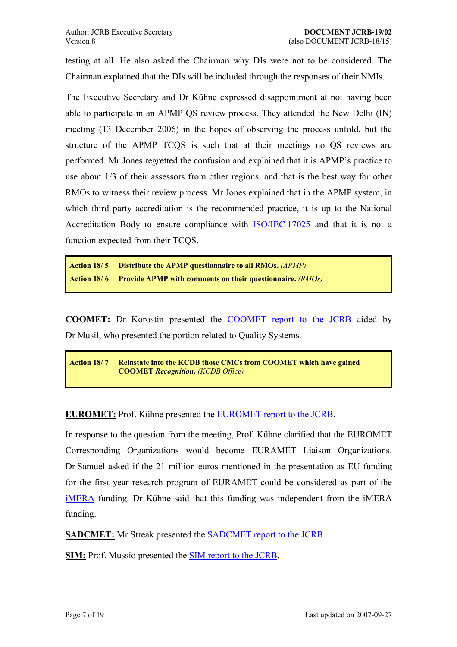<span id="page-6-0"></span>testing at all. He also asked the Chairman why DIs were not to be considered. The Chairman explained that the DIs will be included through the responses of their NMIs.

The Executive Secretary and Dr Kühne expressed disappointment at not having been able to participate in an APMP QS review process. They attended the New Delhi (IN) meeting (13 December 2006) in the hopes of observing the process unfold, but the structure of the APMP TCQS is such that at their meetings no QS reviews are performed. Mr Jones regretted the confusion and explained that it is APMP's practice to use about 1/3 of their assessors from other regions, and that is the best way for other RMOs to witness their review process. Mr Jones explained that in the APMP system, in which third party accreditation is the recommended practice, it is up to the National Accreditation Body to ensure compliance with [ISO/IEC 17025](http://www.iso.org/iso/en/CombinedQueryResult.CombinedQueryResult?queryString=17025) and that it is not a function expected from their TCQS.

**Action 18/ 5 Distribute the APMP questionnaire to all RMOs.** *(APMP)* **Action 18/ 6 Provide APMP with comments on their questionnaire.** *(RMOs)*

**COOMET:** Dr Korostin presented the [COOMET report to the JCRB](https://www1.bipm.org/cc/JCRB/Restricted/17/17.05.2.COOMET_Report.zip) aided by Dr Musil, who presented the portion related to Quality Systems.

**Action 18/ 7 Reinstate into the KCDB those CMCs from COOMET which have gained COOMET** *Recognition***.** *(KCDB Office)*

**EUROMET:** Prof. Kühne presented the **EUROMET** report to the JCRB.

In response to the question from the meeting, Prof. Kühne clarified that the EUROMET Corresponding Organizations would become EURAMET Liaison Organizations. Dr Samuel asked if the 21 million euros mentioned in the presentation as EU funding for the first year research program of EURAMET could be considered as part of the [iMERA](http://www.euromet.org/projects/imera/) funding. Dr Kühne said that this funding was independent from the iMERA funding.

**SADCMET:** Mr Streak presented the [SADCMET report to the JCRB.](https://www.bipm.org/cc/JCRB/Restricted/18/18.05.5.1.SADCMET_Presentation.ppt)

**SIM:** Prof. Mussio presented the [SIM report to the JCRB.](https://www.bipm.org/cc/JCRB/Restricted/18/18.05.6.SIM_Report.zip)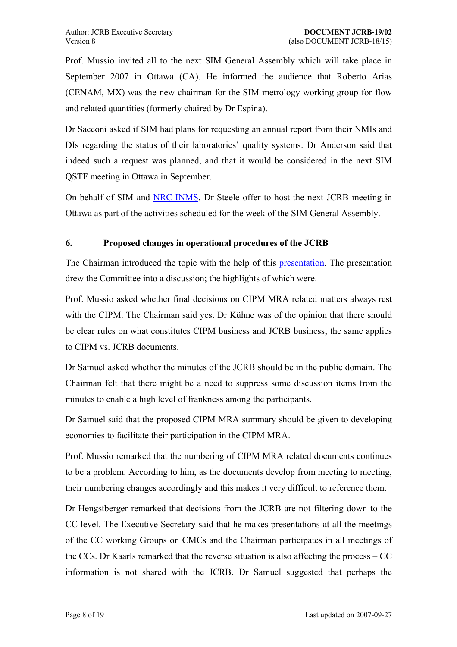<span id="page-7-0"></span>Prof. Mussio invited all to the next SIM General Assembly which will take place in September 2007 in Ottawa (CA). He informed the audience that Roberto Arias (CENAM, MX) was the new chairman for the SIM metrology working group for flow and related quantities (formerly chaired by Dr Espina).

Dr Sacconi asked if SIM had plans for requesting an annual report from their NMIs and DIs regarding the status of their laboratories' quality systems. Dr Anderson said that indeed such a request was planned, and that it would be considered in the next SIM QSTF meeting in Ottawa in September.

On behalf of SIM and [NRC-INMS](http://inms-ienm.nrc-cnrc.gc.ca/), Dr Steele offer to host the next JCRB meeting in Ottawa as part of the activities scheduled for the week of the SIM General Assembly.

## **6. Proposed changes in operational procedures of the JCRB**

The Chairman introduced the topic with the help of this [presentation](https://www.bipm.org/cc/JCRB/Restricted/18/18.06.1.BIPM_Presentation.ppt). The presentation drew the Committee into a discussion; the highlights of which were.

Prof. Mussio asked whether final decisions on CIPM MRA related matters always rest with the CIPM. The Chairman said yes. Dr Kühne was of the opinion that there should be clear rules on what constitutes CIPM business and JCRB business; the same applies to CIPM vs. JCRB documents.

Dr Samuel asked whether the minutes of the JCRB should be in the public domain. The Chairman felt that there might be a need to suppress some discussion items from the minutes to enable a high level of frankness among the participants.

Dr Samuel said that the proposed CIPM MRA summary should be given to developing economies to facilitate their participation in the CIPM MRA.

Prof. Mussio remarked that the numbering of CIPM MRA related documents continues to be a problem. According to him, as the documents develop from meeting to meeting, their numbering changes accordingly and this makes it very difficult to reference them.

Dr Hengstberger remarked that decisions from the JCRB are not filtering down to the CC level. The Executive Secretary said that he makes presentations at all the meetings of the CC working Groups on CMCs and the Chairman participates in all meetings of the CCs. Dr Kaarls remarked that the reverse situation is also affecting the process  $-CC$ information is not shared with the JCRB. Dr Samuel suggested that perhaps the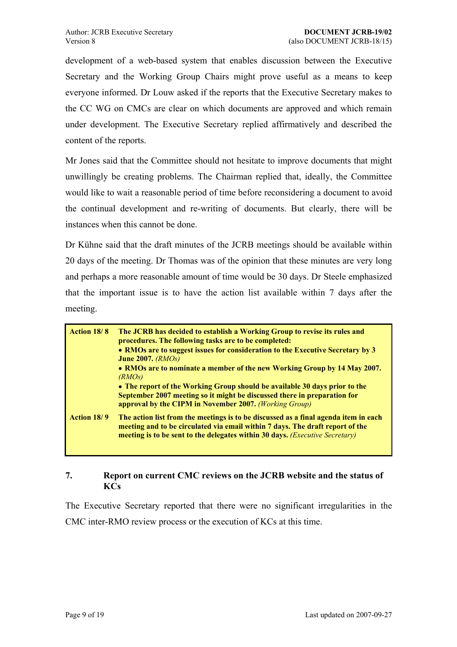<span id="page-8-0"></span>development of a web-based system that enables discussion between the Executive Secretary and the Working Group Chairs might prove useful as a means to keep everyone informed. Dr Louw asked if the reports that the Executive Secretary makes to the CC WG on CMCs are clear on which documents are approved and which remain under development. The Executive Secretary replied affirmatively and described the content of the reports.

Mr Jones said that the Committee should not hesitate to improve documents that might unwillingly be creating problems. The Chairman replied that, ideally, the Committee would like to wait a reasonable period of time before reconsidering a document to avoid the continual development and re-writing of documents. But clearly, there will be instances when this cannot be done.

Dr Kühne said that the draft minutes of the JCRB meetings should be available within 20 days of the meeting. Dr Thomas was of the opinion that these minutes are very long and perhaps a more reasonable amount of time would be 30 days. Dr Steele emphasized that the important issue is to have the action list available within 7 days after the meeting.

| <b>Action 18/8</b> | The JCRB has decided to establish a Working Group to revise its rules and<br>procedures. The following tasks are to be completed:<br>• RMOs are to suggest issues for consideration to the Executive Secretary by 3<br>June 2007. $(RMOs)$<br>• RMOs are to nominate a member of the new Working Group by 14 May 2007.<br>(RMOs)<br>• The report of the Working Group should be available 30 days prior to the<br>September 2007 meeting so it might be discussed there in preparation for<br>approval by the CIPM in November 2007. (Working Group) |
|--------------------|------------------------------------------------------------------------------------------------------------------------------------------------------------------------------------------------------------------------------------------------------------------------------------------------------------------------------------------------------------------------------------------------------------------------------------------------------------------------------------------------------------------------------------------------------|
| Action 18/9        | The action list from the meetings is to be discussed as a final agenda item in each<br>meeting and to be circulated via email within 7 days. The draft report of the<br>meeting is to be sent to the delegates within 30 days. ( <i>Executive Secretary</i> )                                                                                                                                                                                                                                                                                        |

#### **7. Report on current CMC reviews on the JCRB website and the status of KCs**

The Executive Secretary reported that there were no significant irregularities in the CMC inter-RMO review process or the execution of KCs at this time.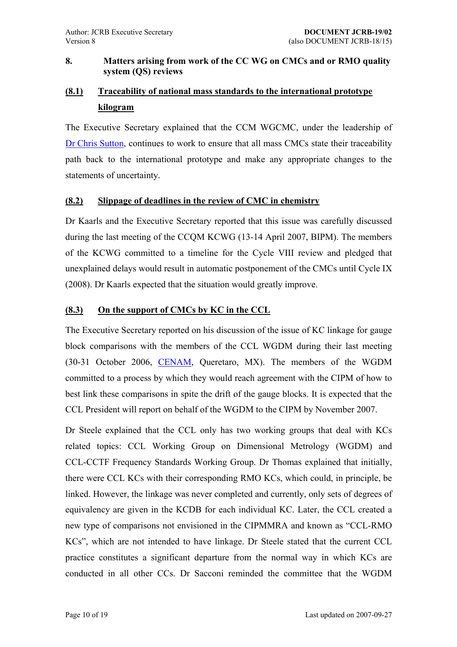## <span id="page-9-0"></span>**8. Matters arising from work of the CC WG on CMCs and or RMO quality system (QS) reviews**

## **(8.1) Traceability of national mass standards to the international prototype kilogram**

The Executive Secretary explained that the CCM WGCMC, under the leadership of [Dr Chris Sutton](mailto:c.sutton@irl.cri.nz), continues to work to ensure that all mass CMCs state their traceability path back to the international prototype and make any appropriate changes to the statements of uncertainty.

## **(8.2) Slippage of deadlines in the review of CMC in chemistry**

Dr Kaarls and the Executive Secretary reported that this issue was carefully discussed during the last meeting of the CCQM KCWG (13-14 April 2007, BIPM). The members of the KCWG committed to a timeline for the Cycle VIII review and pledged that unexplained delays would result in automatic postponement of the CMCs until Cycle IX (2008). Dr Kaarls expected that the situation would greatly improve.

## **(8.3) On the support of CMCs by KC in the CCL**

The Executive Secretary reported on his discussion of the issue of KC linkage for gauge block comparisons with the members of the CCL WGDM during their last meeting (30-31 October 2006, [CENAM](http://www.cenam.mx/), Queretaro, MX). The members of the WGDM committed to a process by which they would reach agreement with the CIPM of how to best link these comparisons in spite the drift of the gauge blocks. It is expected that the CCL President will report on behalf of the WGDM to the CIPM by November 2007.

Dr Steele explained that the CCL only has two working groups that deal with KCs related topics: CCL Working Group on Dimensional Metrology (WGDM) and CCL-CCTF Frequency Standards Working Group. Dr Thomas explained that initially, there were CCL KCs with their corresponding RMO KCs, which could, in principle, be linked. However, the linkage was never completed and currently, only sets of degrees of equivalency are given in the KCDB for each individual KC. Later, the CCL created a new type of comparisons not envisioned in the CIPMMRA and known as "CCL-RMO" KCs", which are not intended to have linkage. Dr Steele stated that the current CCL practice constitutes a significant departure from the normal way in which KCs are conducted in all other CCs. Dr Sacconi reminded the committee that the WGDM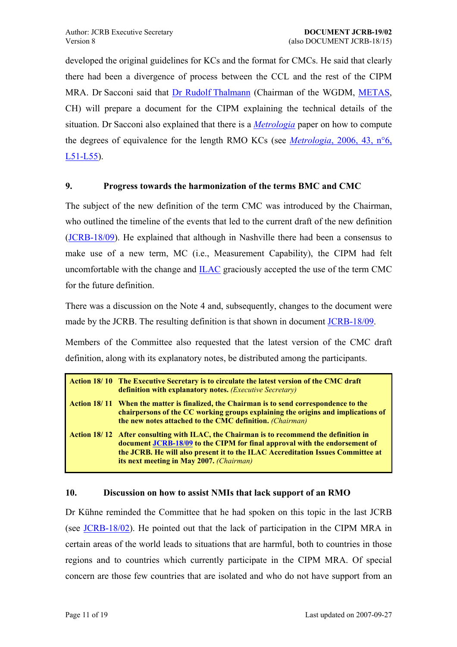<span id="page-10-0"></span>developed the original guidelines for KCs and the format for CMCs. He said that clearly there had been a divergence of process between the CCL and the rest of the CIPM MRA. Dr Sacconi said that [Dr Rudolf Thalmann](mailto:Rudolf.Thalmann@metas.admin.ch) (Chairman of the WGDM, [METAS](http://www.metas.ch/), CH) will prepare a document for the CIPM explaining the technical details of the situation. Dr Sacconi also explained that there is a *[Metrologia](https://www.bipm.org/en/metrologia/)* paper on how to compute the degrees of equivalence for the length RMO KCs (see *Metrologia*[, 2006, 43, n°6,](https://www.bipm.org/metrologia/ViewArticle.jsp?VOLUME=43&PAGE=L51-L55)  [L51-L55\)](https://www.bipm.org/metrologia/ViewArticle.jsp?VOLUME=43&PAGE=L51-L55).

### **9. Progress towards the harmonization of the terms BMC and CMC**

The subject of the new definition of the term CMC was introduced by the Chairman, who outlined the timeline of the events that led to the current draft of the new definition [\(JCRB-18/09](https://www.bipm.org/cc/JCRB/Restricted/18/18.09.CMC-BMC_200705.doc)). He explained that although in Nashville there had been a consensus to make use of a new term, MC (i.e., Measurement Capability), the CIPM had felt uncomfortable with the change and [ILAC](http://www.ilac.org/) graciously accepted the use of the term CMC for the future definition.

There was a discussion on the Note 4 and, subsequently, changes to the document were made by the JCRB. The resulting definition is that shown in document [JCRB-18/09.](https://www.bipm.org/cc/JCRB/Restricted/18/18.09.CMC-BMC_200705.doc)

Members of the Committee also requested that the latest version of the CMC draft definition, along with its explanatory notes, be distributed among the participants.

| Action 18/10 The Executive Secretary is to circulate the latest version of the CMC draft<br>definition with explanatory notes. (Executive Secretary)                                                                                                                                                 |
|------------------------------------------------------------------------------------------------------------------------------------------------------------------------------------------------------------------------------------------------------------------------------------------------------|
| Action 18/11 When the matter is finalized, the Chairman is to send correspondence to the<br>chairpersons of the CC working groups explaining the origins and implications of<br>the new notes attached to the CMC definition. <i>(Chairman)</i>                                                      |
| Action 18/12 After consulting with ILAC, the Chairman is to recommend the definition in<br>document JCRB-18/09 to the CIPM for final approval with the endorsement of<br>the JCRB. He will also present it to the ILAC Accreditation Issues Committee at<br>its next meeting in May 2007. (Chairman) |

#### **10. Discussion on how to assist NMIs that lack support of an RMO**

Dr Kühne reminded the Committee that he had spoken on this topic in the last JCRB (see [JCRB-18/02\)](https://www.bipm.org/cc/JCRB/Restricted/18/18.02-17.16.Minutes.4.pdf). He pointed out that the lack of participation in the CIPM MRA in certain areas of the world leads to situations that are harmful, both to countries in those regions and to countries which currently participate in the CIPM MRA. Of special concern are those few countries that are isolated and who do not have support from an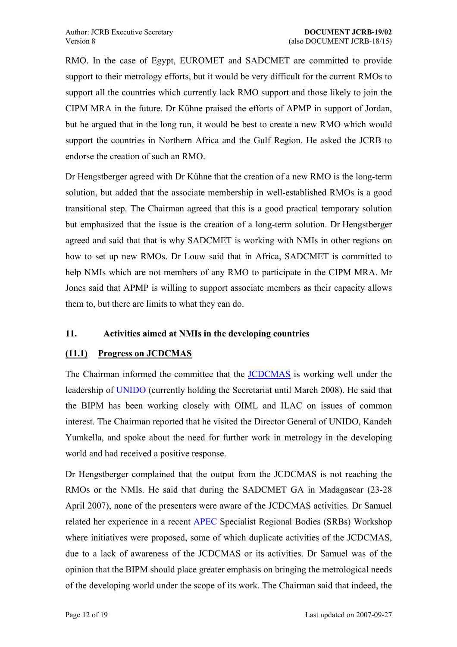<span id="page-11-0"></span>RMO. In the case of Egypt, EUROMET and SADCMET are committed to provide support to their metrology efforts, but it would be very difficult for the current RMOs to support all the countries which currently lack RMO support and those likely to join the CIPM MRA in the future. Dr Kühne praised the efforts of APMP in support of Jordan, but he argued that in the long run, it would be best to create a new RMO which would support the countries in Northern Africa and the Gulf Region. He asked the JCRB to endorse the creation of such an RMO.

Dr Hengstberger agreed with Dr Kühne that the creation of a new RMO is the long-term solution, but added that the associate membership in well-established RMOs is a good transitional step. The Chairman agreed that this is a good practical temporary solution but emphasized that the issue is the creation of a long-term solution. Dr Hengstberger agreed and said that that is why SADCMET is working with NMIs in other regions on how to set up new RMOs. Dr Louw said that in Africa, SADCMET is committed to help NMIs which are not members of any RMO to participate in the CIPM MRA. Mr Jones said that APMP is willing to support associate members as their capacity allows them to, but there are limits to what they can do.

## **11. Activities aimed at NMIs in the developing countries**

## **(11.1) Progress on JCDCMAS**

The Chairman informed the committee that the [JCDCMAS](http://www.jcdcmas.org/) is working well under the leadership of [UNIDO](http://www.unido.org/) (currently holding the Secretariat until March 2008). He said that the BIPM has been working closely with OIML and ILAC on issues of common interest. The Chairman reported that he visited the Director General of UNIDO, Kandeh Yumkella, and spoke about the need for further work in metrology in the developing world and had received a positive response.

Dr Hengstberger complained that the output from the JCDCMAS is not reaching the RMOs or the NMIs. He said that during the SADCMET GA in Madagascar (23-28 April 2007), none of the presenters were aware of the JCDCMAS activities. Dr Samuel related her experience in a recent [APEC](http://www.apecsec.org.sg/) Specialist Regional Bodies (SRBs) Workshop where initiatives were proposed, some of which duplicate activities of the JCDCMAS, due to a lack of awareness of the JCDCMAS or its activities. Dr Samuel was of the opinion that the BIPM should place greater emphasis on bringing the metrological needs of the developing world under the scope of its work. The Chairman said that indeed, the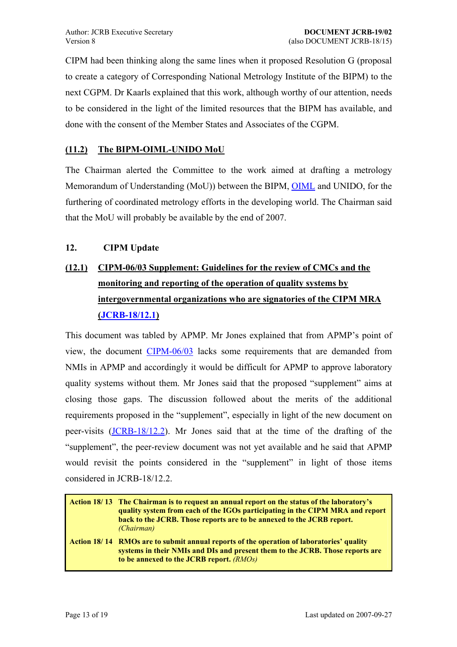<span id="page-12-0"></span>CIPM had been thinking along the same lines when it proposed Resolution G (proposal to create a category of Corresponding National Metrology Institute of the BIPM) to the next CGPM. Dr Kaarls explained that this work, although worthy of our attention, needs to be considered in the light of the limited resources that the BIPM has available, and done with the consent of the Member States and Associates of the CGPM.

## **(11.2) The BIPM-OIML-UNIDO MoU**

The Chairman alerted the Committee to the work aimed at drafting a metrology Memorandum of Understanding (MoU)) between the BIPM, [OIML](http://www.oiml.org/) and UNIDO, for the furthering of coordinated metrology efforts in the developing world. The Chairman said that the MoU will probably be available by the end of 2007.

## **12. CIPM Update**

# **(12.1) CIPM-06/03 Supplement: Guidelines for the review of CMCs and the monitoring and reporting of the operation of quality systems by intergovernmental organizations who are signatories of the CIPM MRA ([JCRB-18/12.1](https://www.bipm.org/cc/JCRB/Restricted/18/18.12.1.CIPM2006_03_Supplement.doc))**

This document was tabled by APMP. Mr Jones explained that from APMP's point of view, the document [CIPM-06/03](https://www.bipm.org/cc/CIPM/Allowed/95/CIPM03_IGO_QS_Review.pdf) lacks some requirements that are demanded from NMIs in APMP and accordingly it would be difficult for APMP to approve laboratory quality systems without them. Mr Jones said that the proposed "supplement" aims at closing those gaps. The discussion followed about the merits of the additional requirements proposed in the "supplement", especially in light of the new document on peer-visits ([JCRB-18/12.2\)](https://www.bipm.org/cc/JCRB/Restricted/18/18.12.2.CIPM2006_05_On-site_visits.4.doc). Mr Jones said that at the time of the drafting of the "supplement", the peer-review document was not yet available and he said that APMP would revisit the points considered in the "supplement" in light of those items considered in JCRB-18/12.2.

**Action 18/ 13 The Chairman is to request an annual report on the status of the laboratoryís quality system from each of the IGOs participating in the CIPM MRA and report back to the JCRB. Those reports are to be annexed to the JCRB report.** *(Chairman)*

Action 18/14 RMOs are to submit annual reports of the operation of laboratories' quality **systems in their NMIs and DIs and present them to the JCRB. Those reports are to be annexed to the JCRB report.** *(RMOs)*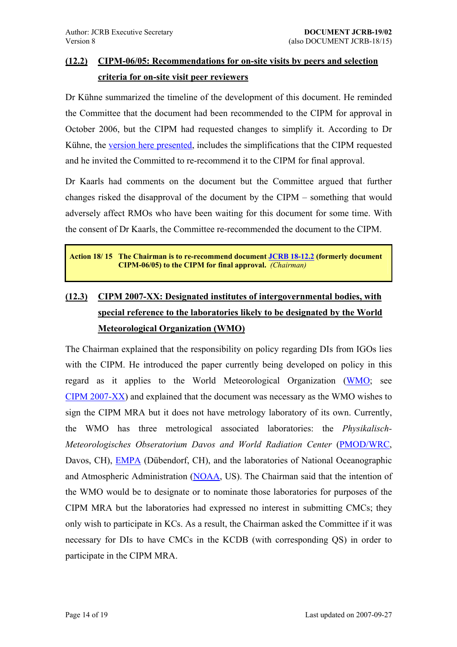## <span id="page-13-0"></span>**(12.2) CIPM-06/05: Recommendations for on-site visits by peers and selection criteria for on-site visit peer reviewers**

Dr Kühne summarized the timeline of the development of this document. He reminded the Committee that the document had been recommended to the CIPM for approval in October 2006, but the CIPM had requested changes to simplify it. According to Dr Kühne, the [version here presented](https://www.bipm.org/cc/JCRB/Restricted/18/18.12.2.CIPM2006_05_On-site_visits.4.doc), includes the simplifications that the CIPM requested and he invited the Committed to re-recommend it to the CIPM for final approval.

Dr Kaarls had comments on the document but the Committee argued that further changes risked the disapproval of the document by the CIPM  $-$  something that would adversely affect RMOs who have been waiting for this document for some time. With the consent of Dr Kaarls, the Committee re-recommended the document to the CIPM.

**Action 18/ 15 The Chairman is to re-recommend document [JCRB 18-12.2](https://www.bipm.org/cc/JCRB/Restricted/18/18.12.2.CIPM2006_05_On-site_visits.4.doc) (formerly document CIPM-06/05) to the CIPM for final approval.** *(Chairman)*

# **(12.3) CIPM 2007-XX: Designated institutes of intergovernmental bodies, with special reference to the laboratories likely to be designated by the World Meteorological Organization (WMO)**

The Chairman explained that the responsibility on policy regarding DIs from IGOs lies with the CIPM. He introduced the paper currently being developed on policy in this regard as it applies to the World Meteorological Organization [\(WMO;](http://www.wmo.ch/) see [CIPM 2007-XX\)](https://www.bipm.org/cc/JCRB/Restricted/18/18.12.3.WMO_Discussion_Paper.doc) and explained that the document was necessary as the WMO wishes to sign the CIPM MRA but it does not have metrology laboratory of its own. Currently, the WMO has three metrological associated laboratories: the *Physikalisch-Meteorologisches Obseratorium Davos and World Radiation Center* ([PMOD/WRC](http://www.pmodwrc.ch/), Davos, CH), [EMPA](http://www.empa.ch/) (Dübendorf, CH), and the laboratories of National Oceanographic and Atmospheric Administration ([NOAA](http://www.noaa.gov/), US). The Chairman said that the intention of the WMO would be to designate or to nominate those laboratories for purposes of the CIPM MRA but the laboratories had expressed no interest in submitting CMCs; they only wish to participate in KCs. As a result, the Chairman asked the Committee if it was necessary for DIs to have CMCs in the KCDB (with corresponding QS) in order to participate in the CIPM MRA.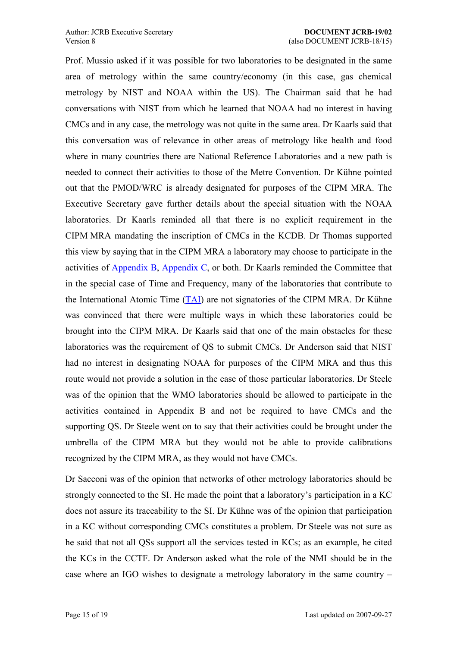Prof. Mussio asked if it was possible for two laboratories to be designated in the same area of metrology within the same country/economy (in this case, gas chemical metrology by NIST and NOAA within the US). The Chairman said that he had conversations with NIST from which he learned that NOAA had no interest in having CMCs and in any case, the metrology was not quite in the same area. Dr Kaarls said that this conversation was of relevance in other areas of metrology like health and food where in many countries there are National Reference Laboratories and a new path is needed to connect their activities to those of the Metre Convention. Dr Kühne pointed out that the PMOD/WRC is already designated for purposes of the CIPM MRA. The Executive Secretary gave further details about the special situation with the NOAA laboratories. Dr Kaarls reminded all that there is no explicit requirement in the CIPM MRA mandating the inscription of CMCs in the KCDB. Dr Thomas supported this view by saying that in the CIPM MRA a laboratory may choose to participate in the activities of [Appendix B](http://kcdb.bipm.org/AppendixB/KCDB_ApB_search.asp), [Appendix C,](http://kcdb.bipm.org/AppendixC/default.asp) or both. Dr Kaarls reminded the Committee that in the special case of Time and Frequency, many of the laboratories that contribute to the International Atomic Time  $(TAI)$  $(TAI)$  are not signatories of the CIPM MRA. Dr Kühne was convinced that there were multiple ways in which these laboratories could be brought into the CIPM MRA. Dr Kaarls said that one of the main obstacles for these laboratories was the requirement of QS to submit CMCs. Dr Anderson said that NIST had no interest in designating NOAA for purposes of the CIPM MRA and thus this route would not provide a solution in the case of those particular laboratories. Dr Steele was of the opinion that the WMO laboratories should be allowed to participate in the activities contained in Appendix B and not be required to have CMCs and the supporting QS. Dr Steele went on to say that their activities could be brought under the umbrella of the CIPM MRA but they would not be able to provide calibrations recognized by the CIPM MRA, as they would not have CMCs.

Dr Sacconi was of the opinion that networks of other metrology laboratories should be strongly connected to the SI. He made the point that a laboratory's participation in a KC does not assure its traceability to the SI. Dr Kühne was of the opinion that participation in a KC without corresponding CMCs constitutes a problem. Dr Steele was not sure as he said that not all QSs support all the services tested in KCs; as an example, he cited the KCs in the CCTF. Dr Anderson asked what the role of the NMI should be in the case where an IGO wishes to designate a metrology laboratory in the same country  $-$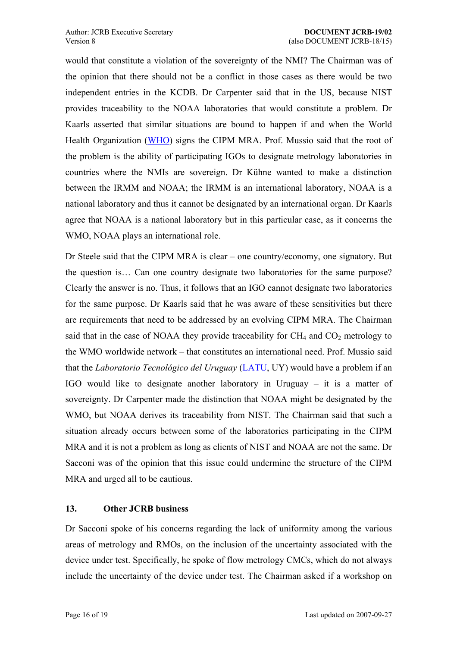<span id="page-15-0"></span>would that constitute a violation of the sovereignty of the NMI? The Chairman was of the opinion that there should not be a conflict in those cases as there would be two independent entries in the KCDB. Dr Carpenter said that in the US, because NIST provides traceability to the NOAA laboratories that would constitute a problem. Dr Kaarls asserted that similar situations are bound to happen if and when the World Health Organization [\(WHO\)](http://www.who.int/) signs the CIPM MRA. Prof. Mussio said that the root of the problem is the ability of participating IGOs to designate metrology laboratories in countries where the NMIs are sovereign. Dr Kühne wanted to make a distinction between the IRMM and NOAA; the IRMM is an international laboratory, NOAA is a national laboratory and thus it cannot be designated by an international organ. Dr Kaarls agree that NOAA is a national laboratory but in this particular case, as it concerns the WMO, NOAA plays an international role.

Dr Steele said that the CIPM MRA is clear – one country/economy, one signatory. But the question is... Can one country designate two laboratories for the same purpose? Clearly the answer is no. Thus, it follows that an IGO cannot designate two laboratories for the same purpose. Dr Kaarls said that he was aware of these sensitivities but there are requirements that need to be addressed by an evolving CIPM MRA. The Chairman said that in the case of NOAA they provide traceability for  $CH_4$  and  $CO_2$  metrology to the WMO worldwide network – that constitutes an international need. Prof. Mussio said that the *Laboratorio Tecnológico del Uruguay* ([LATU,](http://www.latu.org.uy/) UY) would have a problem if an IGO would like to designate another laboratory in Uruguay  $-$  it is a matter of sovereignty. Dr Carpenter made the distinction that NOAA might be designated by the WMO, but NOAA derives its traceability from NIST. The Chairman said that such a situation already occurs between some of the laboratories participating in the CIPM MRA and it is not a problem as long as clients of NIST and NOAA are not the same. Dr Sacconi was of the opinion that this issue could undermine the structure of the CIPM MRA and urged all to be cautious.

#### **13. Other JCRB business**

Dr Sacconi spoke of his concerns regarding the lack of uniformity among the various areas of metrology and RMOs, on the inclusion of the uncertainty associated with the device under test. Specifically, he spoke of flow metrology CMCs, which do not always include the uncertainty of the device under test. The Chairman asked if a workshop on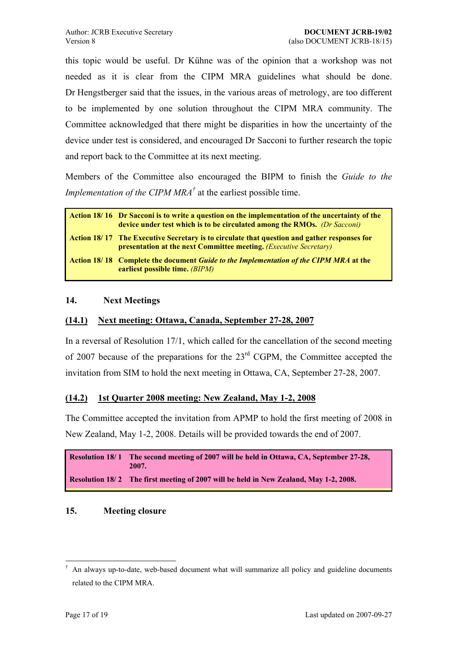<span id="page-16-0"></span>this topic would be useful. Dr Kühne was of the opinion that a workshop was not needed as it is clear from the CIPM MRA guidelines what should be done. Dr Hengstberger said that the issues, in the various areas of metrology, are too different to be implemented by one solution throughout the CIPM MRA community. The Committee acknowledged that there might be disparities in how the uncertainty of the device under test is considered, and encouraged Dr Sacconi to further research the topic and report back to the Committee at its next meeting.

Members of the Committee also encouraged the BIPM to finish the *Guide to the Implementation of the CIPM MRA<sup>†</sup>* at the earliest possible time.

| Action 18/16 Dr Sacconi is to write a question on the implementation of the uncertainty of the<br>device under test which is to be circulated among the RMOs. (Dr Sacconi)       |
|----------------------------------------------------------------------------------------------------------------------------------------------------------------------------------|
| Action 18/17 The Executive Secretary is to circulate that question and gather responses for<br><b>presentation at the next Committee meeting.</b> ( <i>Executive Secretary</i> ) |
| <b>Action 18/18 Complete the document Guide to the Implementation of the CIPM MRA at the</b><br>earliest possible time. <i>(BIPM)</i>                                            |

### **14. Next Meetings**

## **(14.1) Next meeting: Ottawa, Canada, September 27-28, 2007**

In a reversal of Resolution 17/1, which called for the cancellation of the second meeting of 2007 because of the preparations for the 23<sup>rd</sup> CGPM, the Committee accepted the invitation from SIM to hold the next meeting in Ottawa, CA, September 27-28, 2007.

#### **(14.2) 1st Quarter 2008 meeting: New Zealand, May 1-2, 2008**

The Committee accepted the invitation from APMP to hold the first meeting of 2008 in New Zealand, May 1-2, 2008. Details will be provided towards the end of 2007.

```
Resolution 18/ 1 The second meeting of 2007 will be held in Ottawa, CA, September 27-28,
                  2007. 
Resolution 18/2 The first meeting of 2007 will be held in New Zealand, May 1-2, 2008.
```
#### **15. Meeting closure**

 $\overline{a}$ 

<span id="page-16-1"></span><sup>Ü</sup> An always up-to-date, web-based document what will summarize all policy and guideline documents related to the CIPM MRA.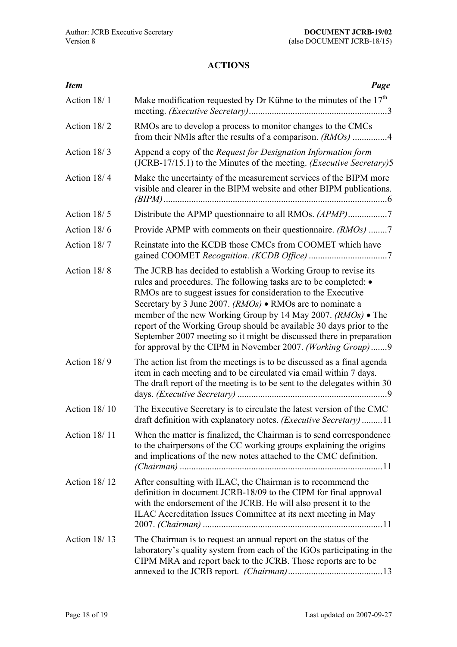## **ACTIONS**

<span id="page-17-0"></span>

| <b>Item</b>         | Page                                                                                                                                                                                                                                                                                                                                                                                                                                                                                                                                                       |
|---------------------|------------------------------------------------------------------------------------------------------------------------------------------------------------------------------------------------------------------------------------------------------------------------------------------------------------------------------------------------------------------------------------------------------------------------------------------------------------------------------------------------------------------------------------------------------------|
| Action 18/1         | Make modification requested by Dr Kühne to the minutes of the $17th$                                                                                                                                                                                                                                                                                                                                                                                                                                                                                       |
| Action 18/2         | RMOs are to develop a process to monitor changes to the CMCs<br>from their NMIs after the results of a comparison. (RMOs) 4                                                                                                                                                                                                                                                                                                                                                                                                                                |
| Action 18/3         | Append a copy of the <i>Request for Designation Information form</i><br>(JCRB-17/15.1) to the Minutes of the meeting. (Executive Secretary)5                                                                                                                                                                                                                                                                                                                                                                                                               |
| Action 18/4         | Make the uncertainty of the measurement services of the BIPM more<br>visible and clearer in the BIPM website and other BIPM publications.                                                                                                                                                                                                                                                                                                                                                                                                                  |
| Action 18/5         |                                                                                                                                                                                                                                                                                                                                                                                                                                                                                                                                                            |
| Action 18/6         | Provide APMP with comments on their questionnaire. (RMOs) 7                                                                                                                                                                                                                                                                                                                                                                                                                                                                                                |
| Action 18/7         | Reinstate into the KCDB those CMCs from COOMET which have                                                                                                                                                                                                                                                                                                                                                                                                                                                                                                  |
| Action 18/8         | The JCRB has decided to establish a Working Group to revise its<br>rules and procedures. The following tasks are to be completed: $\bullet$<br>RMOs are to suggest issues for consideration to the Executive<br>Secretary by 3 June 2007. $(RMOs)$ • RMOs are to nominate a<br>member of the new Working Group by 14 May 2007. (RMOs) • The<br>report of the Working Group should be available 30 days prior to the<br>September 2007 meeting so it might be discussed there in preparation<br>for approval by the CIPM in November 2007. (Working Group)9 |
| Action 18/9         | The action list from the meetings is to be discussed as a final agenda<br>item in each meeting and to be circulated via email within 7 days.<br>The draft report of the meeting is to be sent to the delegates within 30                                                                                                                                                                                                                                                                                                                                   |
| <b>Action 18/10</b> | The Executive Secretary is to circulate the latest version of the CMC<br>draft definition with explanatory notes. <i>(Executive Secretary)</i> 11                                                                                                                                                                                                                                                                                                                                                                                                          |
| Action 18/11        | When the matter is finalized, the Chairman is to send correspondence<br>to the chairpersons of the CC working groups explaining the origins<br>and implications of the new notes attached to the CMC definition.                                                                                                                                                                                                                                                                                                                                           |
| Action 18/12        | After consulting with ILAC, the Chairman is to recommend the<br>definition in document JCRB-18/09 to the CIPM for final approval<br>with the endorsement of the JCRB. He will also present it to the<br>ILAC Accreditation Issues Committee at its next meeting in May                                                                                                                                                                                                                                                                                     |
| Action $18/13$      | The Chairman is to request an annual report on the status of the<br>laboratory's quality system from each of the IGOs participating in the<br>CIPM MRA and report back to the JCRB. Those reports are to be                                                                                                                                                                                                                                                                                                                                                |